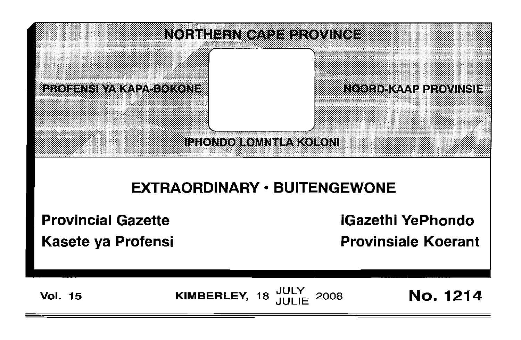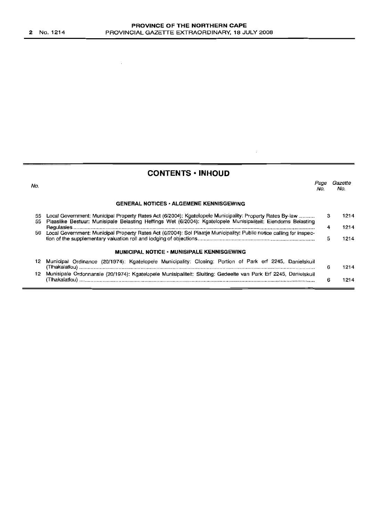$\sim$ 

| <b>CONTENTS · INHOUD</b> |  |
|--------------------------|--|
|--------------------------|--|

 $\bar{\beta}$ 

| No.      |                                                                                                                                                                                                                           | Page<br>No. | Gazette<br>No. |
|----------|---------------------------------------------------------------------------------------------------------------------------------------------------------------------------------------------------------------------------|-------------|----------------|
|          | <b>GENERAL NOTICES • ALGEMENE KENNISGEWING</b>                                                                                                                                                                            |             |                |
| 55<br>55 | Local Government: Municipal Property Rates Act (6/2004): Kgatelopele Municipality: Property Rates By-law<br>Plaaslike Bestuur: Munisipale Belasting Heffings Wet (6/2004): Kgatelopele Munisipaliteit: Eiendoms Belasting | з           | 1214           |
|          | 56 Local Government: Municipal Property Rates Act (6/2004): Sol Plaatie Municipality: Public notice calling for inspec-                                                                                                   | 4<br>5      | 1214<br>1214   |
|          | <b>MUNICIPAL NOTICE • MUNISIPALE KENNISGEWING</b>                                                                                                                                                                         |             |                |
| 12       | Municipal Ordinance (20/1974): Kgatelopele Municipality: Closing: Portion of Park erf 2245, Danielskuil                                                                                                                   | 6           | 1214           |
| 12       | Munisipale Ordonnansie (20/1974): Kgatelopele Munisipaliteit: Sluiting: Gedeelte van Park Erf 2245, Danielskuil                                                                                                           | 6           | 1214           |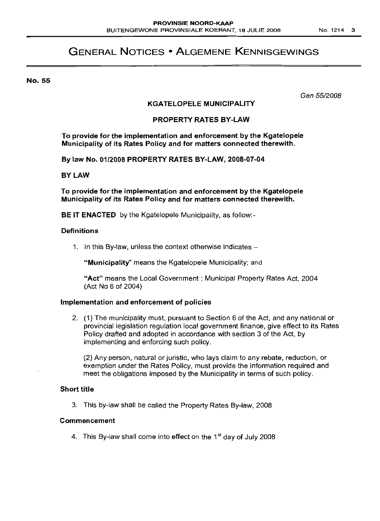# GENERAL NOTICES • ALGEMENE KENNISGEWINGS

No. 55

Gen 55/2008

## KGATELOPELE MUNICIPALITY

## PROPERTY RATES BY-LAW

To provide for the implementation and enforcement by the Kgatelopele Municipality of its Rates Policy and for matters connected therewith.

By law No. *01/2008* PROPERTY RATES BY-LAW, 2008-07-04

### BYLAW

To provide for the implementation and enforcement by the Kgatelopele Municipality of its Rates Policy and for matters connected therewith.

BE IT ENACTED by the Kgatelopele Municipality, as follow:-

## **Definitions**

1. In this By-law, unless the context otherwise indicates  $-$ 

"Municipality" means the Kgatelopele Municipality; and

"Act" means the Local Government: Municipal Property Rates Act, 2004 (Act No 6 of 2004)

### Implementation and enforcement of policies

2. (1) The municipality must, pursuant to Section 6 of the Act, and any national or provincial legislation regulation local government finance, give effect to its Rates Policy drafted and adopted in accordance with section 3 of the Act, by implementing and enforcing such policy.

(2) Any person, natural or juristic, who lays claim to any rebate, reduction, or exemption under the Rates Policy, must provide the information required and meet the obligations imposed by the Municipality in terms of such policy.

## Short title

3. This by-law shall be called the Property Rates By-law, 2008

### Commencement

4. This By-law shall come into effect on the  $1<sup>st</sup>$  day of July 2008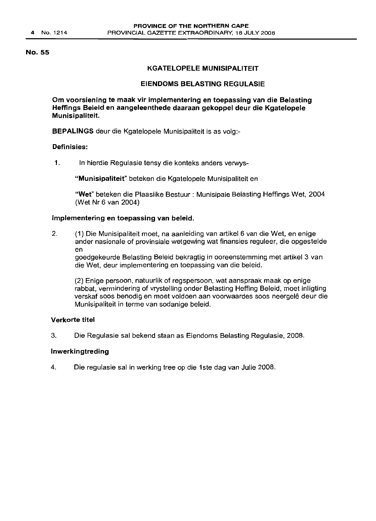#### No. 55

## KGATELOPELE MUNISIPALITEIT

## EIENDOMS BELASTING REGULASIE

Om voorsiening te maak vir implementering en toepassing van die Belasting Heffings Beleid en aangeleenthede daaraan gekoppel deur die Kgatelopele Munisipaliteit.

BEPALINGS deur die Kgatelopele Munisipaliteit is as volg:-

#### Definisies:

1. In hierdie Regulasie tensy die konteks anders verwys-

"Munisipaliteit" beteken die Kgatelopele Munisipaliteit en

"Wet" beteken die Plaaslike Bestuur : Munisipale Belasting Heffings Wet, 2004 (Wet Nr 6 van 2004)

#### Implementering en toepassing van beleid.

2. (1) Die Munisipaliteit moet, na aanleiding van artikel 6 van die Wet, en enige ander nasionale of provinsiale wetgewing wat finansies reguleer, die opgestelde en

goedgekeurde Belasting Beleid bekragtig in ooreenstemming met artikel 3 van die Wet, deur implementering en toepassing van die beleid.

(2) Enige persoon, natuurlik of regspersoon, wat aanspraak maak op enige rabbat, vermindering of vrystelling onder Belasting Hefting Beleid, moet inligting verskaf soos benodig en moet voldoen aan voorwaardes soos neerqele deur die Munisipaliteit in terme van sodanige beleid.

## Verkorte titel

3. Die Regulasie sal bekend staan as Eiendoms Belasting Regulasie, 2008.

## **Inwerkingtreding**

4. Die regulasie sal in werking tree op die 1ste dag van Julie 2008.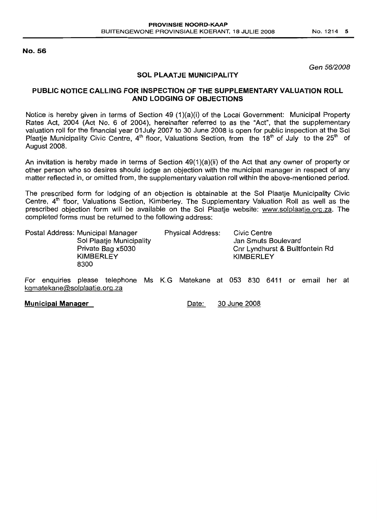No. 56

Gen 56/2008

## **SOL PLAATJE MUNICIPALITY**

## **PUBLIC NOTICE CALLING FOR INSPECTION OF THE SUPPLEMENTARY VALUATION ROLL AND LODGING OF OBJECTIONS**

Notice is hereby given in terms of Section 49 (1)(a)(i) of the Local Government: Municipal Property Rates Act, 2004 (Act No. 6 of 2004), hereinafter referred to as the "Act", that the supplementary valuation roll for the financial year 01July 2007 to 30 June 2008 is open for public inspection at the Sol Plaatje Municipality Civic Centre,  $4<sup>th</sup>$  floor, Valuations Section, from the 18<sup>th</sup> of July to the 25<sup>th</sup> of August 2008.

An invitation is hereby made in terms of Section 49(1 )(a)(ii) of the Act that any owner of property or other person who so desires should lodge an objection with the municipal manager in respect of any matter reflected in, or omitted from, the supplementary valuation roll within the above-mentioned period.

The prescribed form for lodging of an objection is obtainable at the Sol Plaatje Municipality Civic Centre, 4<sup>th</sup> floor, Valuations Section, Kimberley. The Supplementary Valuation Roll as well as the prescribed objection form will be available on the Sol Plaatje website: www.solplaatje.orq.za. The completed forms must be returned to the following address:

| Postal Address: Municipal Manager<br>Sol Plaatje Municipality<br>Private Bag x5030<br><b>KIMBERLEY</b><br>8300 | <b>Physical Address:</b> | Civic Centre<br>Jan Smuts Boulevard<br>Cnr Lyndhurst & Builtfontein Rd<br>KIMBERLEY |
|----------------------------------------------------------------------------------------------------------------|--------------------------|-------------------------------------------------------------------------------------|
|                                                                                                                |                          |                                                                                     |

For enquiries please telephone Ms K.G Matekane at 053 830 6411 or email her at kgmatekane@solplaatje.orq.za

**Municipal Manager** Date: 30 June 2008